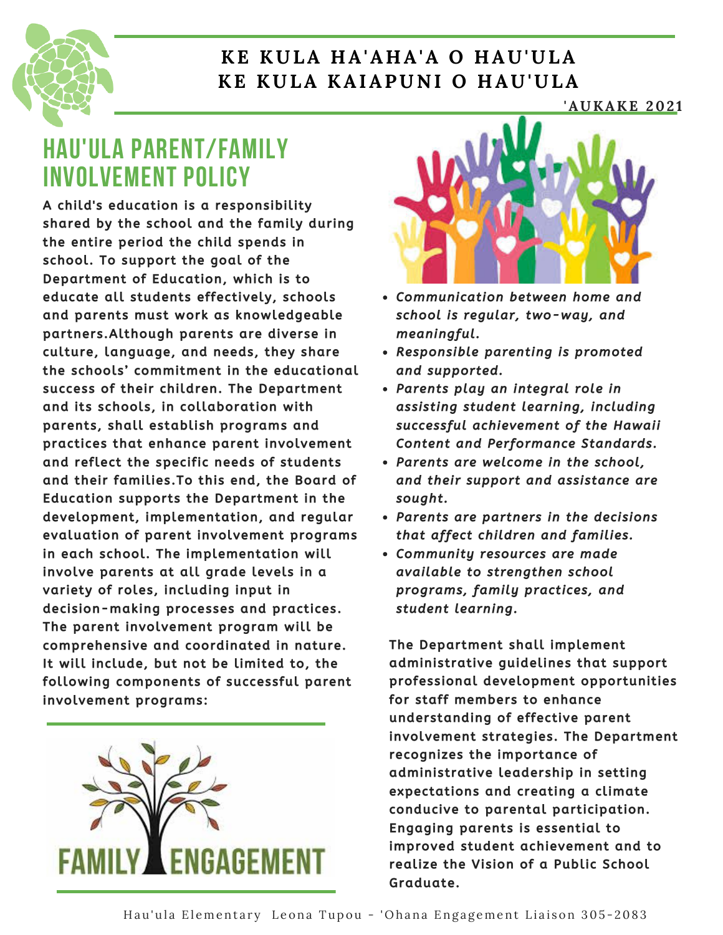

### **K E KULA H A'A H A'A O H AU'ULA K E KULA K AIAPUNI O H AU'ULA**

#### **'AUK A K E 202 1**

## **HAU'ULA PARENT/FAMILY INVOLVEMENT POLICY**

A child's education is a responsibility shared by the school and the family during the entire period the child spends in school. To support the goal of the Department of Education, which is to educate all students effectively, schools and parents must work as knowledgeable partners. Although parents are diverse in culture, language, and needs, they share the schools' commitment in the educational success of their children. The Department and its schools, in collaboration with parents, shall establish programs and practices that enhance parent involvement and reflect the specific needs of students and their families. To this end, the Board of Education supports the Department in the development, implementation, and regular evaluation of parent involvement programs in each school. The implementation will involve parents at all grade levels in a variety of roles, including input in decision-making processes and practices. The parent involvement program will be comprehens ive and coordinated in nature. It will include, but not be limited to, the following components of successful parent involvement programs:





- Communication between home and school is regular, two-way, and meaningful.
- Responsible parenting is promoted and supported.
- Parents play an integral role in assisting student learning, including successful achievement of the Hawaii Content and Performance Standards.
- Parents are welcome in the school, and their support and assistance are sought.
- Parents are partners in the decisions that affect children and families.
- Community resources are made available to strengthen school programs, family practices, and student learning.

The Department shall implement administrative guidelines that support professional development opportunities for staff members to enhance understanding of effective parent involvement strategies. The Department recognizes the importance of administrative leadership in setting expectations and creating a climate conducive to parental participation. Engaging parents is essential to improved student achievement and to realize the Vision of a Public School Graduate.